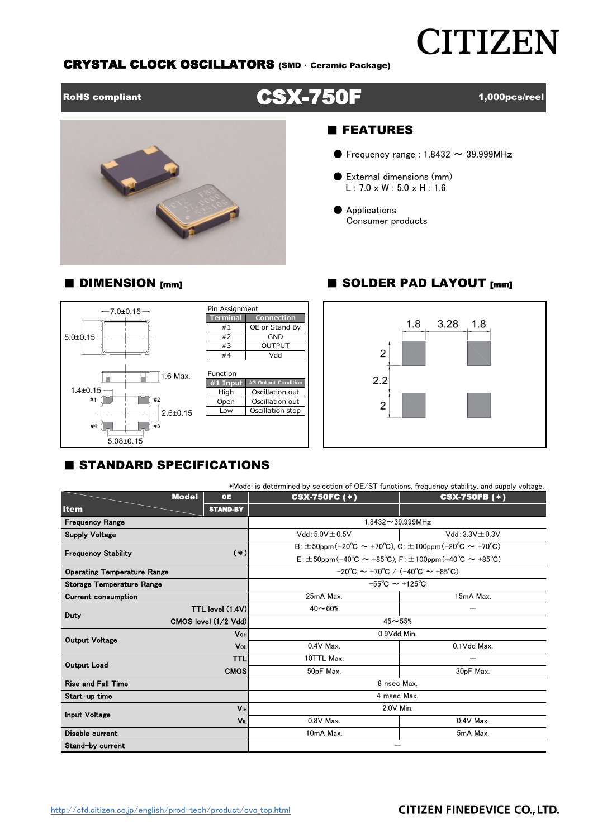# **CITIZEN**

#### CRYSTAL CLOCK OSCILLATORS (SMD ・ Ceramic Package)

## RoHS compliant CSX-750F 1,000pcs/reel



#### ■ FEATURES

- $\bullet$  Frequency range : 1.8432  $\sim$  39.999MHz
- External dimensions (mm)  $L: 7.0 \times W: 5.0 \times H: 1.6$
- Applications Consumer products

#### ■ DIMENSION [mm] ■ SOLDER PAD LAYOUT [mm]





### **E STANDARD SPECIFICATIONS**

|                                    |                           | *Model is determined by selection of OE/ST functions, frequency stability, and supply voltage. |                                          |  |  |  |  |  |
|------------------------------------|---------------------------|------------------------------------------------------------------------------------------------|------------------------------------------|--|--|--|--|--|
|                                    | <b>Model</b><br><b>OE</b> | <b>CSX-750FC (*)</b>                                                                           | <b>CSX-750FB</b> (*)                     |  |  |  |  |  |
| <b>Item</b>                        | <b>STAND-BY</b>           |                                                                                                |                                          |  |  |  |  |  |
| <b>Frequency Range</b>             |                           | $1.8432 \sim 39.999$ MHz                                                                       |                                          |  |  |  |  |  |
| <b>Supply Voltage</b>              |                           | $Vdd: 5.0V \pm 0.5V$                                                                           | $Vdd: 3.3V \pm 0.3V$                     |  |  |  |  |  |
|                                    |                           | $B: \pm 50$ ppm(-20°C ~ +70°C). C: $\pm 100$ ppm(-20°C ~ +70°C)                                |                                          |  |  |  |  |  |
| <b>Frequency Stability</b>         | $(*)$                     | $E: \pm 50$ ppm (-40°C $\sim$ +85°C). F: $\pm 100$ ppm (-40°C $\sim$ +85°C)                    |                                          |  |  |  |  |  |
| <b>Operating Temperature Range</b> |                           | $-20^{\circ}$ C $\sim$ +70 $^{\circ}$ C / (-40 $^{\circ}$ C $\sim$ +85 $^{\circ}$ C)           |                                          |  |  |  |  |  |
| <b>Storage Temperature Range</b>   |                           |                                                                                                | $-55^{\circ}$ C $\sim$ +125 $^{\circ}$ C |  |  |  |  |  |
| <b>Current consumption</b>         |                           | 25mA Max.                                                                                      | 15mA Max.                                |  |  |  |  |  |
| Duty                               | TTL level (1.4V)          | $40 - 60%$                                                                                     |                                          |  |  |  |  |  |
|                                    | CMOS level (1/2 Vdd)      | $45 - 55%$                                                                                     |                                          |  |  |  |  |  |
| <b>Output Voltage</b>              | <b>V</b> он               | 0.9Vdd Min.                                                                                    |                                          |  |  |  |  |  |
|                                    | Vol                       | $0.4V$ Max.                                                                                    | 0.1Vdd Max.                              |  |  |  |  |  |
| <b>Output Load</b>                 | <b>TTL</b>                | 10TTL Max.                                                                                     |                                          |  |  |  |  |  |
|                                    | <b>CMOS</b>               | 50pF Max.                                                                                      | 30pF Max.                                |  |  |  |  |  |
| <b>Rise and Fall Time</b>          |                           | 8 nsec Max.                                                                                    |                                          |  |  |  |  |  |
| Start-up time                      |                           | 4 msec Max.                                                                                    |                                          |  |  |  |  |  |
| Input Voltage                      | Vы                        | 2.0V Min.                                                                                      |                                          |  |  |  |  |  |
|                                    | VIL                       | $0.8V$ Max.                                                                                    | $0.4V$ Max.                              |  |  |  |  |  |
| Disable current                    |                           | 10mA Max.                                                                                      | 5mA Max.                                 |  |  |  |  |  |
| Stand-by current                   |                           |                                                                                                |                                          |  |  |  |  |  |